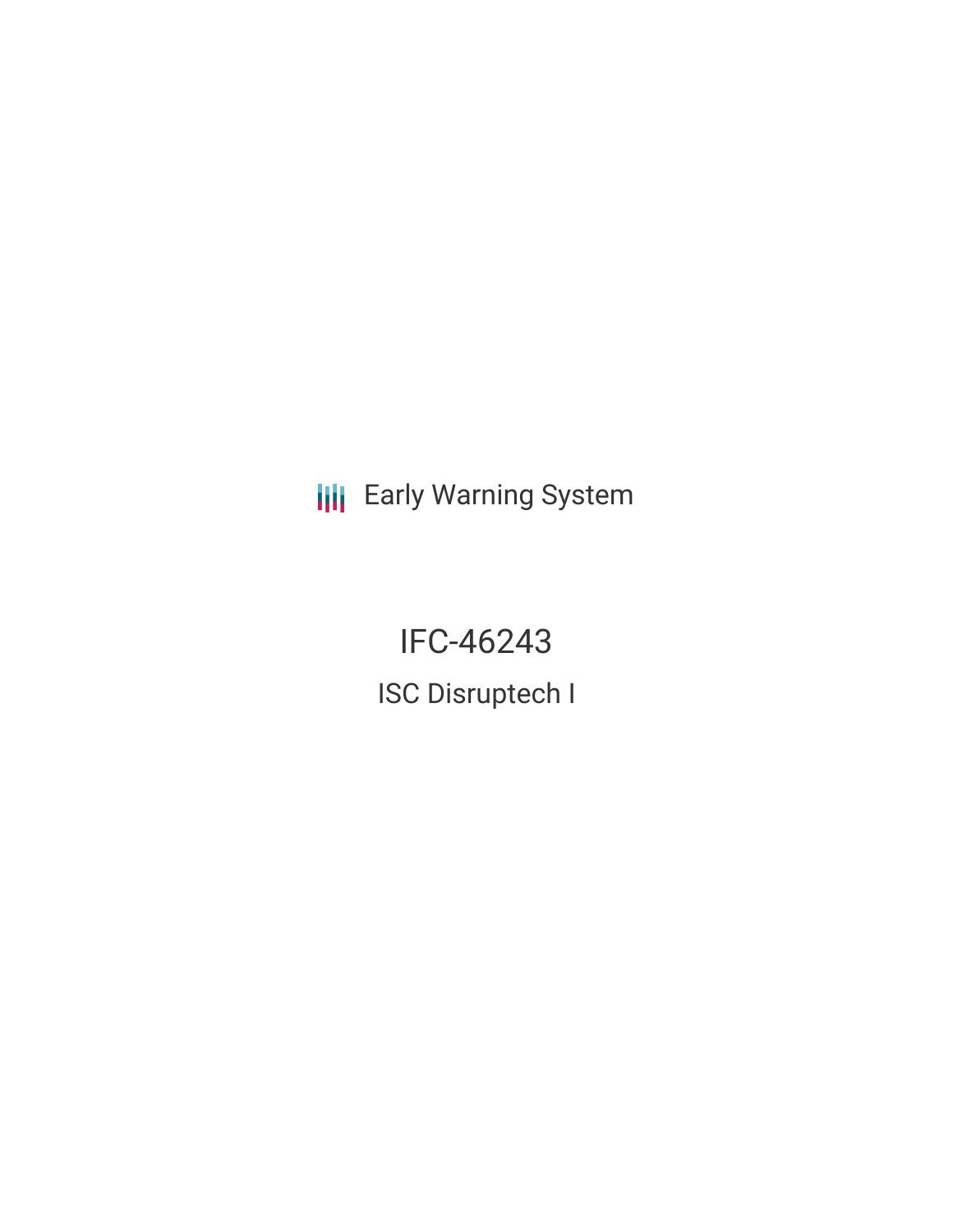**III** Early Warning System

IFC-46243 ISC Disruptech I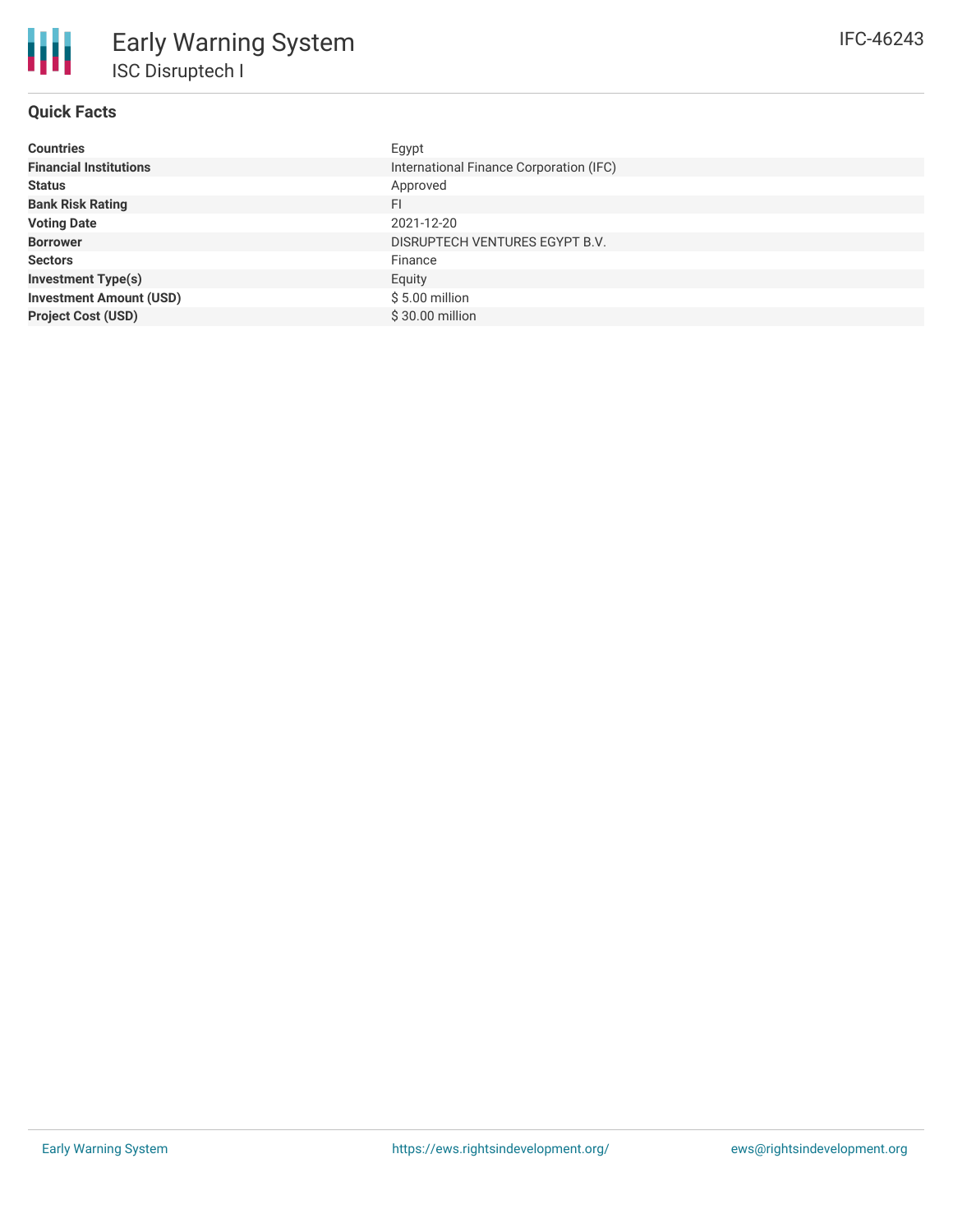# **Quick Facts**

| <b>Countries</b>               | Egypt                                   |
|--------------------------------|-----------------------------------------|
| <b>Financial Institutions</b>  | International Finance Corporation (IFC) |
| <b>Status</b>                  | Approved                                |
| <b>Bank Risk Rating</b>        | FI                                      |
| <b>Voting Date</b>             | 2021-12-20                              |
| <b>Borrower</b>                | DISRUPTECH VENTURES EGYPT B.V.          |
| <b>Sectors</b>                 | Finance                                 |
| <b>Investment Type(s)</b>      | Equity                                  |
| <b>Investment Amount (USD)</b> | $$5.00$ million                         |
| <b>Project Cost (USD)</b>      | \$30.00 million                         |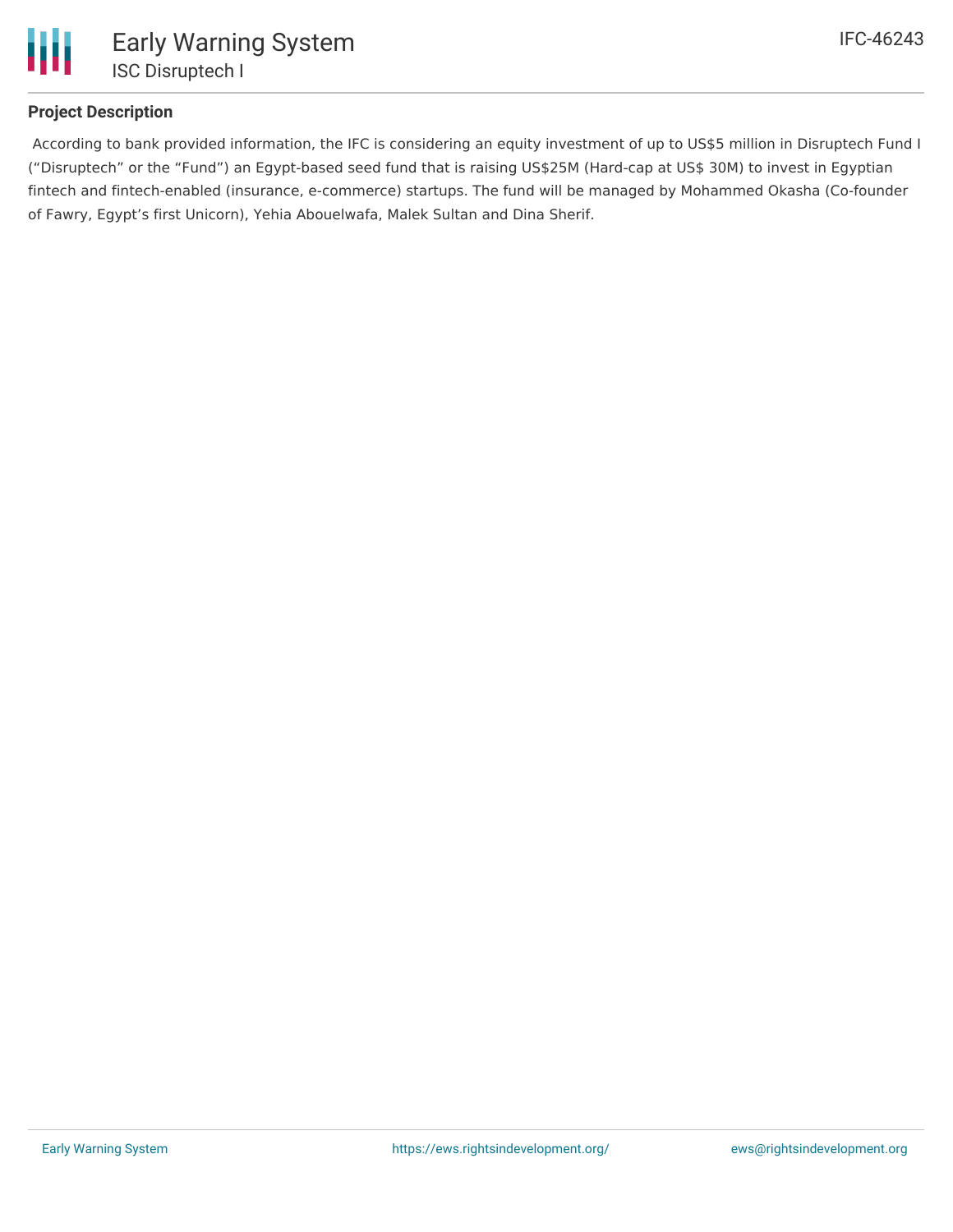

## **Project Description**

According to bank provided information, the IFC is considering an equity investment of up to US\$5 million in Disruptech Fund I ("Disruptech" or the "Fund") an Egypt-based seed fund that is raising US\$25M (Hard-cap at US\$ 30M) to invest in Egyptian fintech and fintech-enabled (insurance, e-commerce) startups. The fund will be managed by Mohammed Okasha (Co-founder of Fawry, Egypt's first Unicorn), Yehia Abouelwafa, Malek Sultan and Dina Sherif.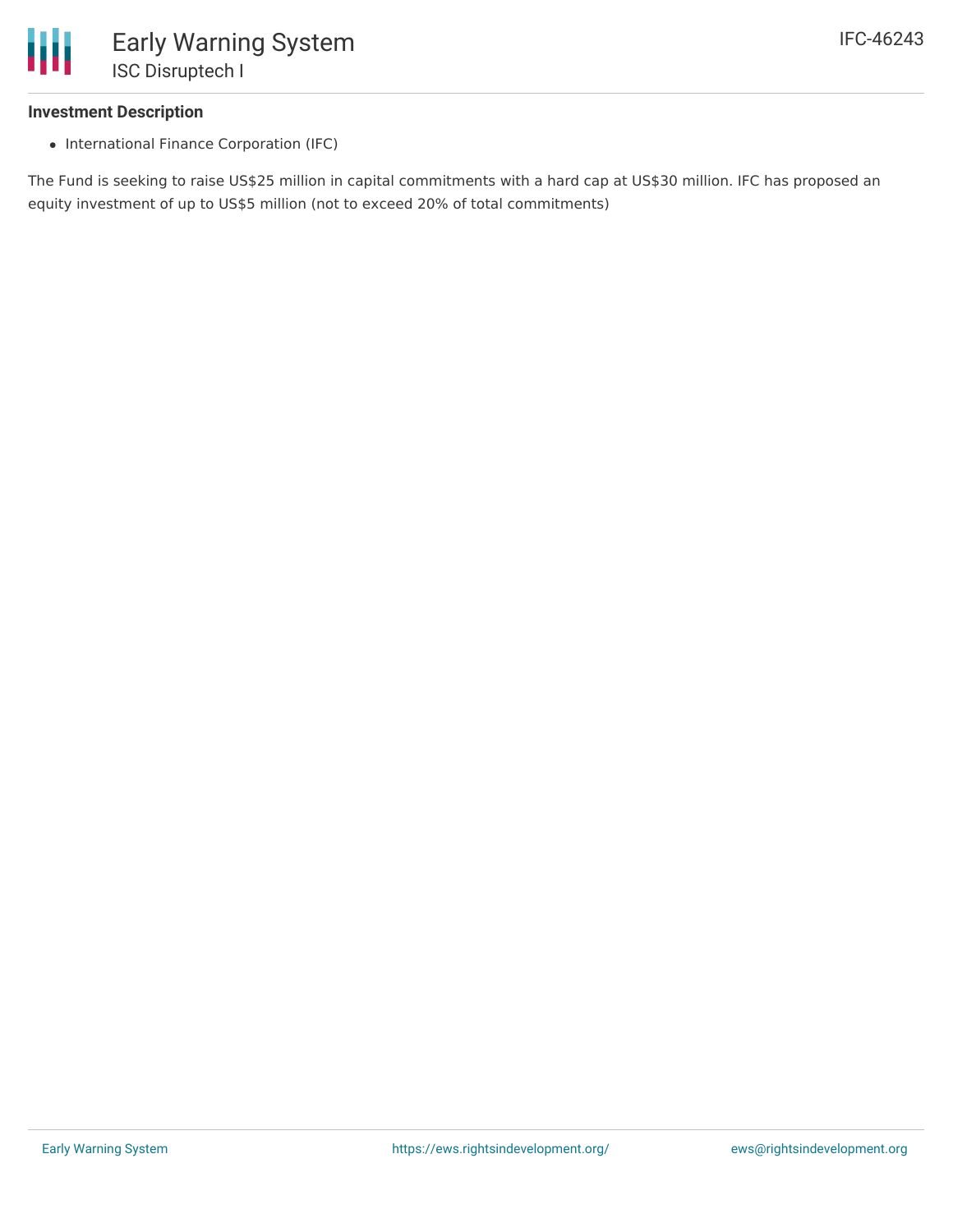

## **Investment Description**

• International Finance Corporation (IFC)

The Fund is seeking to raise US\$25 million in capital commitments with a hard cap at US\$30 million. IFC has proposed an equity investment of up to US\$5 million (not to exceed 20% of total commitments)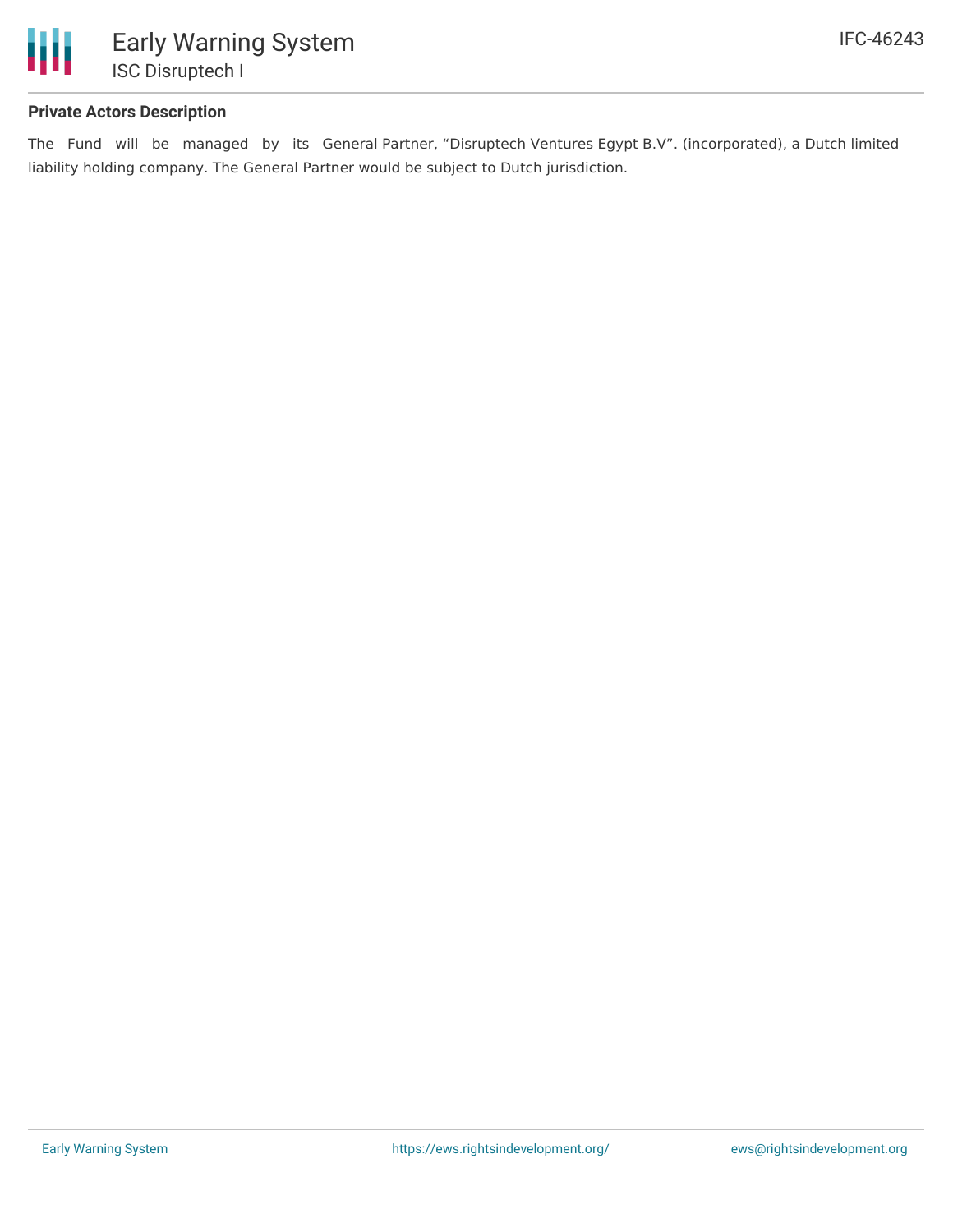

## **Private Actors Description**

The Fund will be managed by its General Partner, "Disruptech Ventures Egypt B.V". (incorporated), a Dutch limited liability holding company. The General Partner would be subject to Dutch jurisdiction.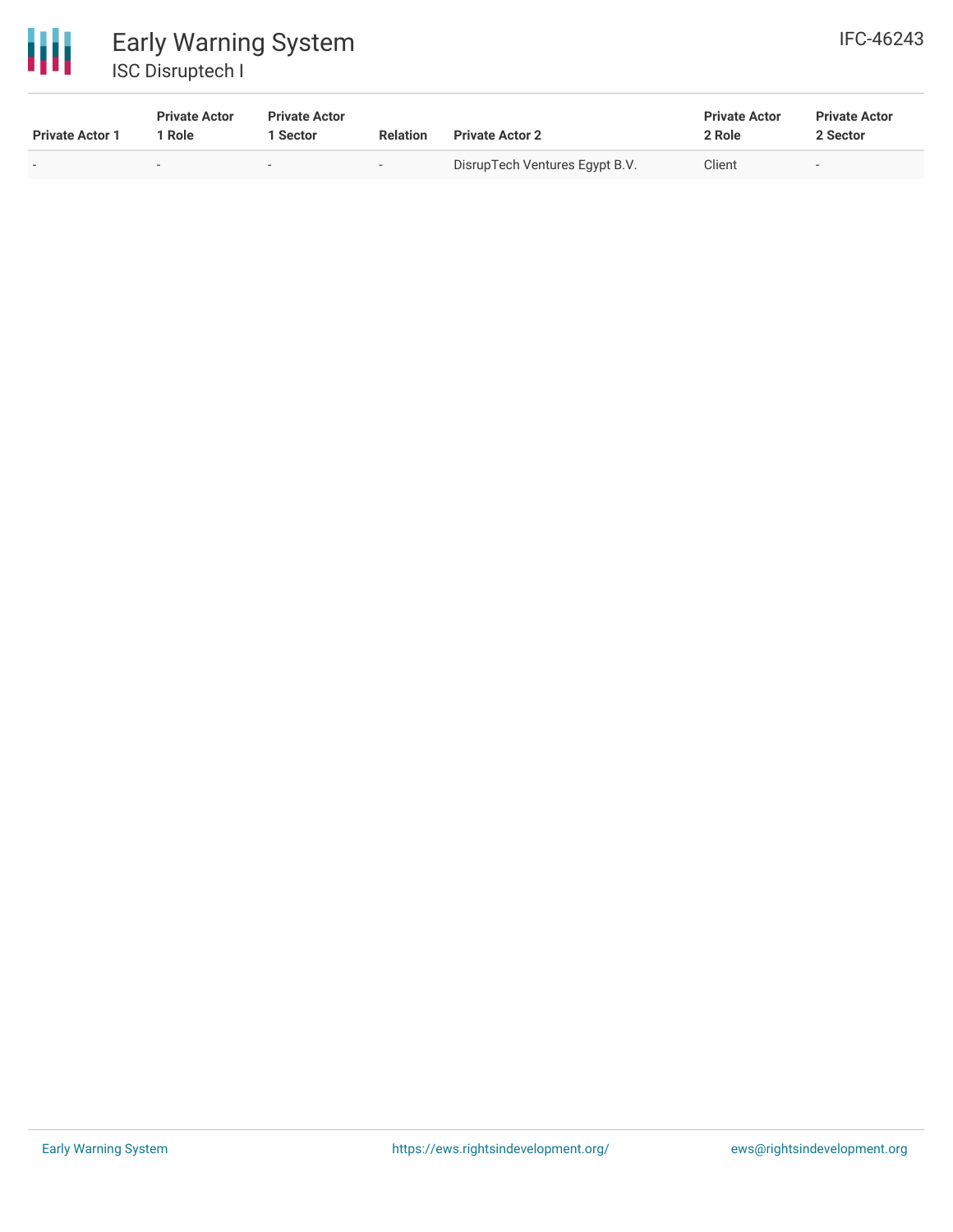

| <b>Private Actor 1</b> | <b>Private Actor</b><br>1 Role | <b>Private Actor</b><br>Sector | <b>Relation</b> | <b>Private Actor 2</b>         | <b>Private Actor</b><br>2 Role | <b>Private Actor</b><br>2 Sector |  |
|------------------------|--------------------------------|--------------------------------|-----------------|--------------------------------|--------------------------------|----------------------------------|--|
|                        | -                              |                                | $\sim$          | DisrupTech Ventures Egypt B.V. | Client                         | $\overline{\phantom{a}}$         |  |